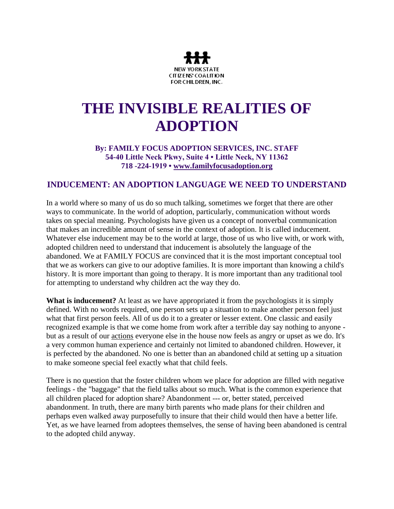

## **THE INVISIBLE REALITIES OF ADOPTION**

## **By: FAMILY FOCUS ADOPTION SERVICES, INC. STAFF 54-40 Little Neck Pkwy, Suite 4 • Little Neck, NY 11362 718 -224-1919 • [www.familyfocusadoption.org](http://familyfocusadoption.org/)**

## **INDUCEMENT: AN ADOPTION LANGUAGE WE NEED TO UNDERSTAND**

In a world where so many of us do so much talking, sometimes we forget that there are other ways to communicate. In the world of adoption, particularly, communication without words takes on special meaning. Psychologists have given us a concept of nonverbal communication that makes an incredible amount of sense in the context of adoption. It is called inducement. Whatever else inducement may be to the world at large, those of us who live with, or work with, adopted children need to understand that inducement is absolutely the language of the abandoned. We at FAMILY FOCUS are convinced that it is the most important conceptual tool that we as workers can give to our adoptive families. It is more important than knowing a child's history. It is more important than going to therapy. It is more important than any traditional tool for attempting to understand why children act the way they do.

**What is inducement?** At least as we have appropriated it from the psychologists it is simply defined. With no words required, one person sets up a situation to make another person feel just what that first person feels. All of us do it to a greater or lesser extent. One classic and easily recognized example is that we come home from work after a terrible day say nothing to anyone but as a result of our actions everyone else in the house now feels as angry or upset as we do. It's a very common human experience and certainly not limited to abandoned children. However, it is perfected by the abandoned. No one is better than an abandoned child at setting up a situation to make someone special feel exactly what that child feels.

There is no question that the foster children whom we place for adoption are filled with negative feelings - the "baggage" that the field talks about so much. What is the common experience that all children placed for adoption share? Abandonment --- or, better stated, perceived abandonment. In truth, there are many birth parents who made plans for their children and perhaps even walked away purposefully to insure that their child would then have a better life. Yet, as we have learned from adoptees themselves, the sense of having been abandoned is central to the adopted child anyway.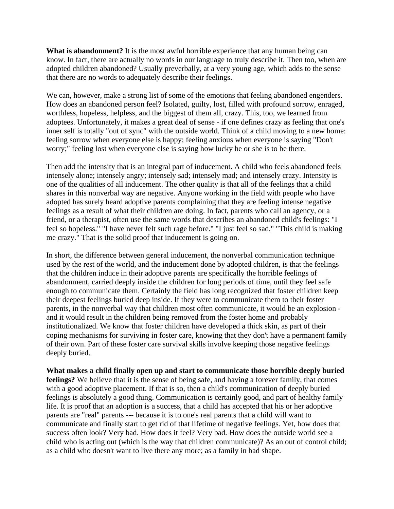**What is abandonment?** It is the most awful horrible experience that any human being can know. In fact, there are actually no words in our language to truly describe it. Then too, when are adopted children abandoned? Usually preverbally, at a very young age, which adds to the sense that there are no words to adequately describe their feelings.

We can, however, make a strong list of some of the emotions that feeling abandoned engenders. How does an abandoned person feel? Isolated, guilty, lost, filled with profound sorrow, enraged, worthless, hopeless, helpless, and the biggest of them all, crazy. This, too, we learned from adoptees. Unfortunately, it makes a great deal of sense - if one defines crazy as feeling that one's inner self is totally "out of sync" with the outside world. Think of a child moving to a new home: feeling sorrow when everyone else is happy; feeling anxious when everyone is saying "Don't worry;" feeling lost when everyone else is saying how lucky he or she is to be there.

Then add the intensity that is an integral part of inducement. A child who feels abandoned feels intensely alone; intensely angry; intensely sad; intensely mad; and intensely crazy. Intensity is one of the qualities of all inducement. The other quality is that all of the feelings that a child shares in this nonverbal way are negative. Anyone working in the field with people who have adopted has surely heard adoptive parents complaining that they are feeling intense negative feelings as a result of what their children are doing. In fact, parents who call an agency, or a friend, or a therapist, often use the same words that describes an abandoned child's feelings: "I feel so hopeless." "I have never felt such rage before." "I just feel so sad." "This child is making me crazy." That is the solid proof that inducement is going on.

In short, the difference between general inducement, the nonverbal communication technique used by the rest of the world, and the inducement done by adopted children, is that the feelings that the children induce in their adoptive parents are specifically the horrible feelings of abandonment, carried deeply inside the children for long periods of time, until they feel safe enough to communicate them. Certainly the field has long recognized that foster children keep their deepest feelings buried deep inside. If they were to communicate them to their foster parents, in the nonverbal way that children most often communicate, it would be an explosion and it would result in the children being removed from the foster home and probably institutionalized. We know that foster children have developed a thick skin, as part of their coping mechanisms for surviving in foster care, knowing that they don't have a permanent family of their own. Part of these foster care survival skills involve keeping those negative feelings deeply buried.

**What makes a child finally open up and start to communicate those horrible deeply buried feelings?** We believe that it is the sense of being safe, and having a forever family, that comes with a good adoptive placement. If that is so, then a child's communication of deeply buried feelings is absolutely a good thing. Communication is certainly good, and part of healthy family life. It is proof that an adoption is a success, that a child has accepted that his or her adoptive parents are "real" parents --- because it is to one's real parents that a child will want to communicate and finally start to get rid of that lifetime of negative feelings. Yet, how does that success often look? Very bad. How does it feel? Very bad. How does the outside world see a child who is acting out (which is the way that children communicate)? As an out of control child; as a child who doesn't want to live there any more; as a family in bad shape.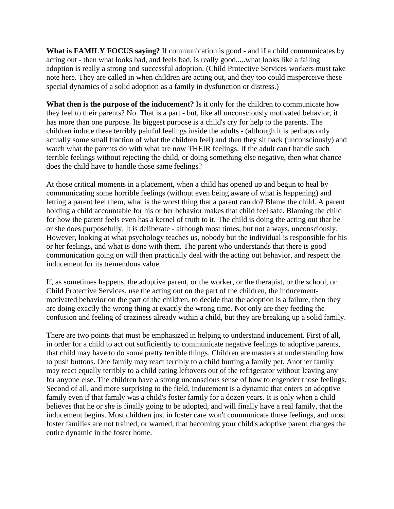**What is FAMILY FOCUS saying?** If communication is good - and if a child communicates by acting out - then what looks bad, and feels bad, is really good.....what looks like a failing adoption is really a strong and successful adoption. (Child Protective Services workers must take note here. They are called in when children are acting out, and they too could misperceive these special dynamics of a solid adoption as a family in dysfunction or distress.)

**What then is the purpose of the inducement?** Is it only for the children to communicate how they feel to their parents? No. That is a part - but, like all unconsciously motivated behavior, it has more than one purpose. Its biggest purpose is a child's cry for help to the parents. The children induce these terribly painful feelings inside the adults - (although it is perhaps only actually some small fraction of what the children feel) and then they sit back (unconsciously) and watch what the parents do with what are now THEIR feelings. If the adult can't handle such terrible feelings without rejecting the child, or doing something else negative, then what chance does the child have to handle those same feelings?

At those critical moments in a placement, when a child has opened up and begun to heal by communicating some horrible feelings (without even being aware of what is happening) and letting a parent feel them, what is the worst thing that a parent can do? Blame the child. A parent holding a child accountable for his or her behavior makes that child feel safe. Blaming the child for how the parent feels even has a kernel of truth to it. The child is doing the acting out that he or she does purposefully. It is deliberate - although most times, but not always, unconsciously. However, looking at what psychology teaches us, nobody but the individual is responsible for his or her feelings, and what is done with them. The parent who understands that there is good communication going on will then practically deal with the acting out behavior, and respect the inducement for its tremendous value.

If, as sometimes happens, the adoptive parent, or the worker, or the therapist, or the school, or Child Protective Services, use the acting out on the part of the children, the inducementmotivated behavior on the part of the children, to decide that the adoption is a failure, then they are doing exactly the wrong thing at exactly the wrong time. Not only are they feeding the confusion and feeling of craziness already within a child, but they are breaking up a solid family.

There are two points that must be emphasized in helping to understand inducement. First of all, in order for a child to act out sufficiently to communicate negative feelings to adoptive parents, that child may have to do some pretty terrible things. Children are masters at understanding how to push buttons. One family may react terribly to a child hurting a family pet. Another family may react equally terribly to a child eating leftovers out of the refrigerator without leaving any for anyone else. The children have a strong unconscious sense of how to engender those feelings. Second of all, and more surprising to the field, inducement is a dynamic that enters an adoptive family even if that family was a child's foster family for a dozen years. It is only when a child believes that he or she is finally going to be adopted, and will finally have a real family, that the inducement begins. Most children just in foster care won't communicate those feelings, and most foster families are not trained, or warned, that becoming your child's adoptive parent changes the entire dynamic in the foster home.